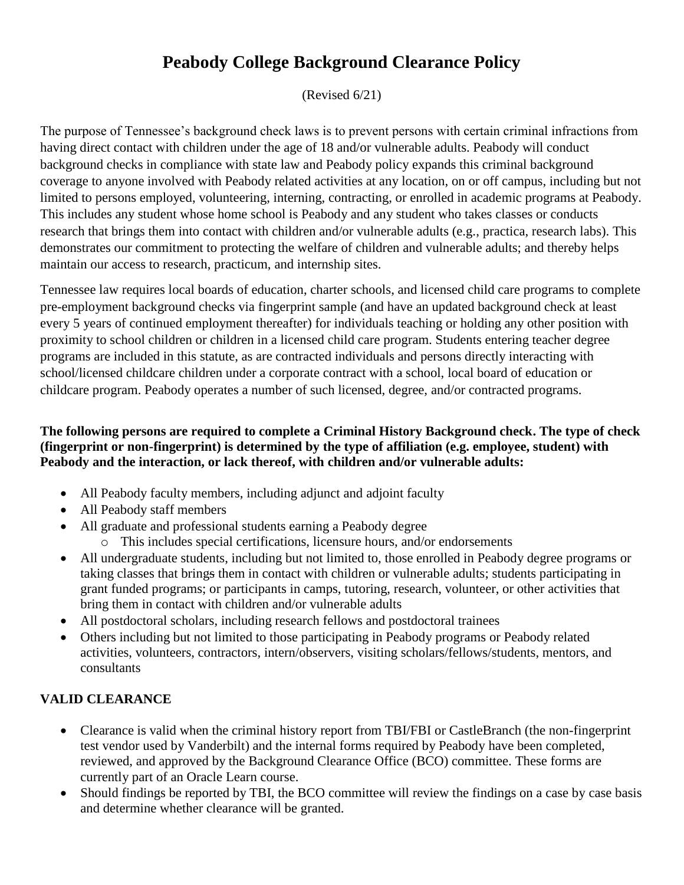# **Peabody College Background Clearance Policy**

(Revised 6/21)

The purpose of Tennessee's background check laws is to prevent persons with certain criminal infractions from having direct contact with children under the age of 18 and/or vulnerable adults. Peabody will conduct background checks in compliance with state law and Peabody policy expands this criminal background coverage to anyone involved with Peabody related activities at any location, on or off campus, including but not limited to persons employed, volunteering, interning, contracting, or enrolled in academic programs at Peabody. This includes any student whose home school is Peabody and any student who takes classes or conducts research that brings them into contact with children and/or vulnerable adults (e.g., practica, research labs). This demonstrates our commitment to protecting the welfare of children and vulnerable adults; and thereby helps maintain our access to research, practicum, and internship sites.

Tennessee law requires local boards of education, charter schools, and licensed child care programs to complete pre-employment background checks via fingerprint sample (and have an updated background check at least every 5 years of continued employment thereafter) for individuals teaching or holding any other position with proximity to school children or children in a licensed child care program. Students entering teacher degree programs are included in this statute, as are contracted individuals and persons directly interacting with school/licensed childcare children under a corporate contract with a school, local board of education or childcare program. Peabody operates a number of such licensed, degree, and/or contracted programs.

#### **The following persons are required to complete a Criminal History Background check. The type of check (fingerprint or non-fingerprint) is determined by the type of affiliation (e.g. employee, student) with Peabody and the interaction, or lack thereof, with children and/or vulnerable adults:**

- All Peabody faculty members, including adjunct and adjoint faculty
- All Peabody staff members
- All graduate and professional students earning a Peabody degree
	- o This includes special certifications, licensure hours, and/or endorsements
- All undergraduate students, including but not limited to, those enrolled in Peabody degree programs or taking classes that brings them in contact with children or vulnerable adults; students participating in grant funded programs; or participants in camps, tutoring, research, volunteer, or other activities that bring them in contact with children and/or vulnerable adults
- All postdoctoral scholars, including research fellows and postdoctoral trainees
- Others including but not limited to those participating in Peabody programs or Peabody related activities, volunteers, contractors, intern/observers, visiting scholars/fellows/students, mentors, and consultants

# **VALID CLEARANCE**

- Clearance is valid when the criminal history report from TBI/FBI or CastleBranch (the non-fingerprint test vendor used by Vanderbilt) and the internal forms required by Peabody have been completed, reviewed, and approved by the Background Clearance Office (BCO) committee. These forms are currently part of an Oracle Learn course.
- Should findings be reported by TBI, the BCO committee will review the findings on a case by case basis and determine whether clearance will be granted.